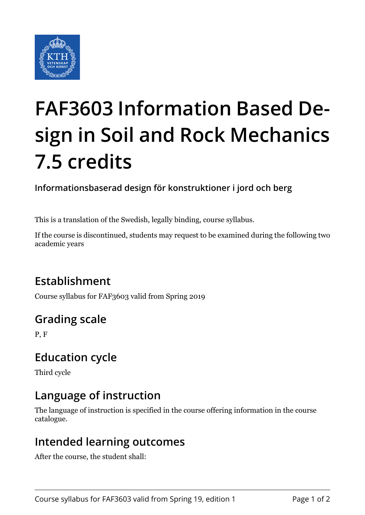

# **FAF3603 Information Based Design in Soil and Rock Mechanics 7.5 credits**

**Informationsbaserad design för konstruktioner i jord och berg**

This is a translation of the Swedish, legally binding, course syllabus.

If the course is discontinued, students may request to be examined during the following two academic years

# **Establishment**

Course syllabus for FAF3603 valid from Spring 2019

# **Grading scale**

P, F

# **Education cycle**

Third cycle

# **Language of instruction**

The language of instruction is specified in the course offering information in the course catalogue.

#### **Intended learning outcomes**

After the course, the student shall: